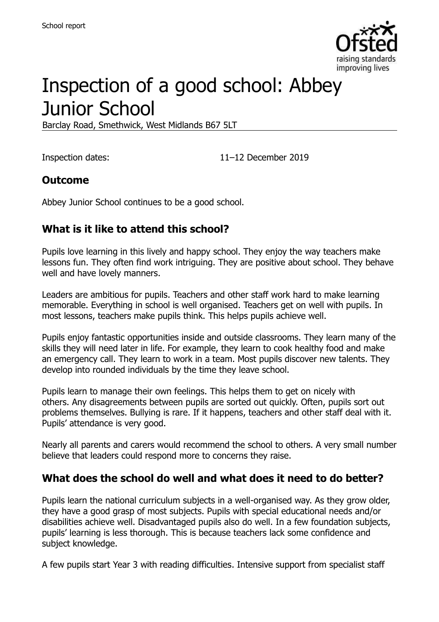

# Inspection of a good school: Abbey Junior School

Barclay Road, Smethwick, West Midlands B67 5LT

Inspection dates: 11–12 December 2019

#### **Outcome**

Abbey Junior School continues to be a good school.

## **What is it like to attend this school?**

Pupils love learning in this lively and happy school. They enjoy the way teachers make lessons fun. They often find work intriguing. They are positive about school. They behave well and have lovely manners.

Leaders are ambitious for pupils. Teachers and other staff work hard to make learning memorable. Everything in school is well organised. Teachers get on well with pupils. In most lessons, teachers make pupils think. This helps pupils achieve well.

Pupils enjoy fantastic opportunities inside and outside classrooms. They learn many of the skills they will need later in life. For example, they learn to cook healthy food and make an emergency call. They learn to work in a team. Most pupils discover new talents. They develop into rounded individuals by the time they leave school.

Pupils learn to manage their own feelings. This helps them to get on nicely with others. Any disagreements between pupils are sorted out quickly. Often, pupils sort out problems themselves. Bullying is rare. If it happens, teachers and other staff deal with it. Pupils' attendance is very good.

Nearly all parents and carers would recommend the school to others. A very small number believe that leaders could respond more to concerns they raise.

#### **What does the school do well and what does it need to do better?**

Pupils learn the national curriculum subjects in a well-organised way. As they grow older, they have a good grasp of most subjects. Pupils with special educational needs and/or disabilities achieve well. Disadvantaged pupils also do well. In a few foundation subjects, pupils' learning is less thorough. This is because teachers lack some confidence and subject knowledge.

A few pupils start Year 3 with reading difficulties. Intensive support from specialist staff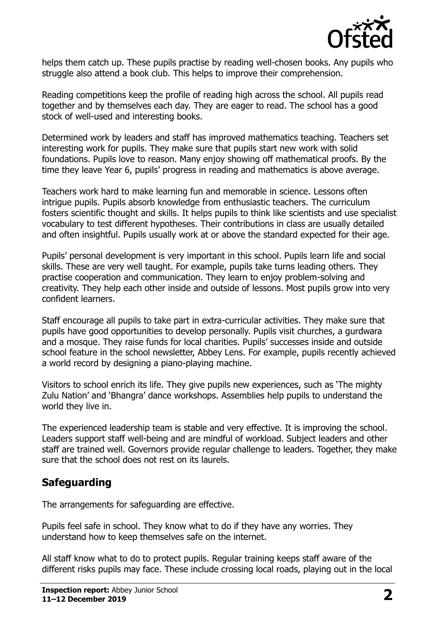

helps them catch up. These pupils practise by reading well-chosen books. Any pupils who struggle also attend a book club. This helps to improve their comprehension.

Reading competitions keep the profile of reading high across the school. All pupils read together and by themselves each day. They are eager to read. The school has a good stock of well-used and interesting books.

Determined work by leaders and staff has improved mathematics teaching. Teachers set interesting work for pupils. They make sure that pupils start new work with solid foundations. Pupils love to reason. Many enjoy showing off mathematical proofs. By the time they leave Year 6, pupils' progress in reading and mathematics is above average.

Teachers work hard to make learning fun and memorable in science. Lessons often intrigue pupils. Pupils absorb knowledge from enthusiastic teachers. The curriculum fosters scientific thought and skills. It helps pupils to think like scientists and use specialist vocabulary to test different hypotheses. Their contributions in class are usually detailed and often insightful. Pupils usually work at or above the standard expected for their age.

Pupils' personal development is very important in this school. Pupils learn life and social skills. These are very well taught. For example, pupils take turns leading others. They practise cooperation and communication. They learn to enjoy problem-solving and creativity. They help each other inside and outside of lessons. Most pupils grow into very confident learners.

Staff encourage all pupils to take part in extra-curricular activities. They make sure that pupils have good opportunities to develop personally. Pupils visit churches, a gurdwara and a mosque. They raise funds for local charities. Pupils' successes inside and outside school feature in the school newsletter, Abbey Lens. For example, pupils recently achieved a world record by designing a piano-playing machine.

Visitors to school enrich its life. They give pupils new experiences, such as 'The mighty Zulu Nation' and 'Bhangra' dance workshops. Assemblies help pupils to understand the world they live in.

The experienced leadership team is stable and very effective. It is improving the school. Leaders support staff well-being and are mindful of workload. Subject leaders and other staff are trained well. Governors provide regular challenge to leaders. Together, they make sure that the school does not rest on its laurels.

#### **Safeguarding**

The arrangements for safeguarding are effective.

Pupils feel safe in school. They know what to do if they have any worries. They understand how to keep themselves safe on the internet.

All staff know what to do to protect pupils. Regular training keeps staff aware of the different risks pupils may face. These include crossing local roads, playing out in the local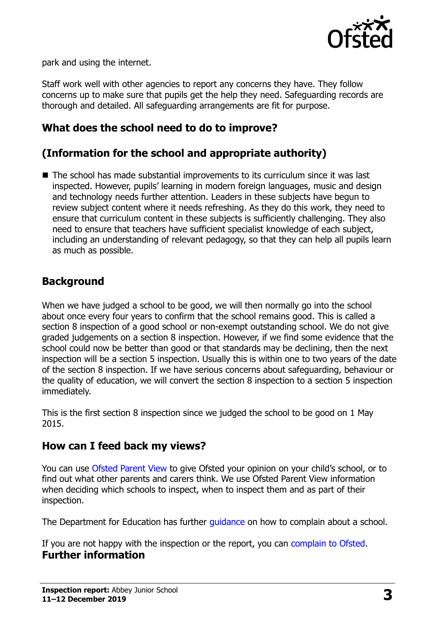

park and using the internet.

Staff work well with other agencies to report any concerns they have. They follow concerns up to make sure that pupils get the help they need. Safeguarding records are thorough and detailed. All safeguarding arrangements are fit for purpose.

### **What does the school need to do to improve?**

## **(Information for the school and appropriate authority)**

■ The school has made substantial improvements to its curriculum since it was last inspected. However, pupils' learning in modern foreign languages, music and design and technology needs further attention. Leaders in these subjects have begun to review subject content where it needs refreshing. As they do this work, they need to ensure that curriculum content in these subjects is sufficiently challenging. They also need to ensure that teachers have sufficient specialist knowledge of each subject, including an understanding of relevant pedagogy, so that they can help all pupils learn as much as possible.

#### **Background**

When we have judged a school to be good, we will then normally go into the school about once every four years to confirm that the school remains good. This is called a section 8 inspection of a good school or non-exempt outstanding school. We do not give graded judgements on a section 8 inspection. However, if we find some evidence that the school could now be better than good or that standards may be declining, then the next inspection will be a section 5 inspection. Usually this is within one to two years of the date of the section 8 inspection. If we have serious concerns about safeguarding, behaviour or the quality of education, we will convert the section 8 inspection to a section 5 inspection immediately.

This is the first section 8 inspection since we judged the school to be good on 1 May 2015.

#### **How can I feed back my views?**

You can use [Ofsted Parent View](https://parentview.ofsted.gov.uk/) to give Ofsted your opinion on your child's school, or to find out what other parents and carers think. We use Ofsted Parent View information when deciding which schools to inspect, when to inspect them and as part of their inspection.

The Department for Education has further quidance on how to complain about a school.

If you are not happy with the inspection or the report, you can [complain to Ofsted.](https://www.gov.uk/complain-ofsted-report) **Further information**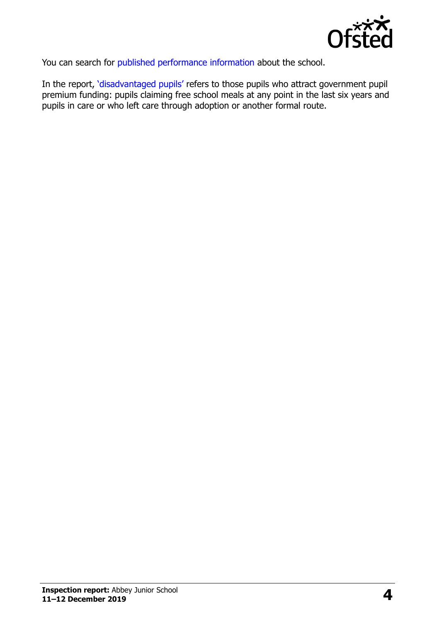

You can search for [published performance information](http://www.compare-school-performance.service.gov.uk/) about the school.

In the report, '[disadvantaged pupils](http://www.gov.uk/guidance/pupil-premium-information-for-schools-and-alternative-provision-settings)' refers to those pupils who attract government pupil premium funding: pupils claiming free school meals at any point in the last six years and pupils in care or who left care through adoption or another formal route.

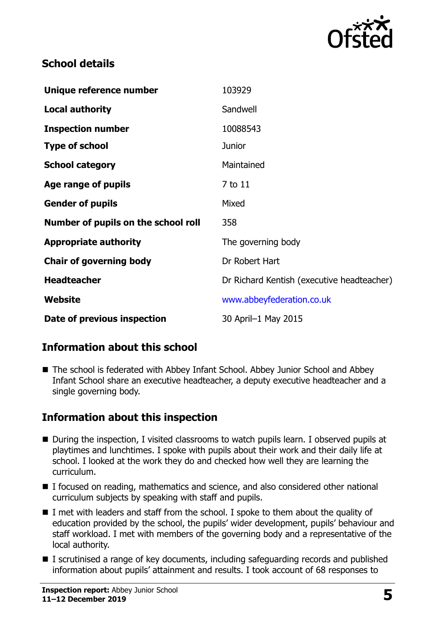

## **School details**

| Unique reference number             | 103929                                     |
|-------------------------------------|--------------------------------------------|
| <b>Local authority</b>              | Sandwell                                   |
| <b>Inspection number</b>            | 10088543                                   |
| <b>Type of school</b>               | <b>Junior</b>                              |
| <b>School category</b>              | Maintained                                 |
| Age range of pupils                 | 7 to 11                                    |
| <b>Gender of pupils</b>             | Mixed                                      |
| Number of pupils on the school roll | 358                                        |
| <b>Appropriate authority</b>        | The governing body                         |
| <b>Chair of governing body</b>      | Dr Robert Hart                             |
| <b>Headteacher</b>                  | Dr Richard Kentish (executive headteacher) |
| Website                             | www.abbeyfederation.co.uk                  |
| Date of previous inspection         | 30 April-1 May 2015                        |

## **Information about this school**

■ The school is federated with Abbey Infant School. Abbey Junior School and Abbey Infant School share an executive headteacher, a deputy executive headteacher and a single governing body.

## **Information about this inspection**

- During the inspection, I visited classrooms to watch pupils learn. I observed pupils at playtimes and lunchtimes. I spoke with pupils about their work and their daily life at school. I looked at the work they do and checked how well they are learning the curriculum.
- I focused on reading, mathematics and science, and also considered other national curriculum subjects by speaking with staff and pupils.
- $\blacksquare$  I met with leaders and staff from the school. I spoke to them about the quality of education provided by the school, the pupils' wider development, pupils' behaviour and staff workload. I met with members of the governing body and a representative of the local authority.
- I scrutinised a range of key documents, including safeguarding records and published information about pupils' attainment and results. I took account of 68 responses to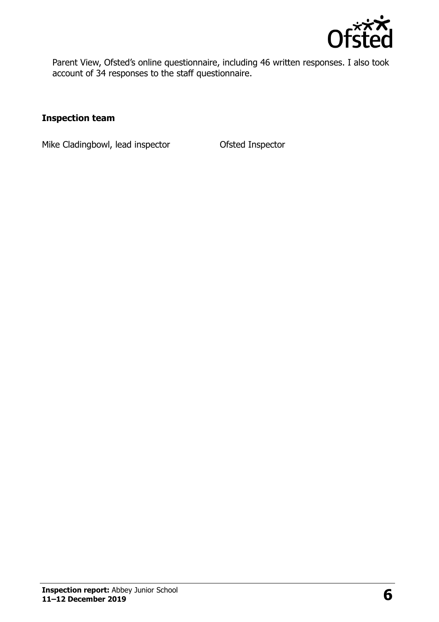

Parent View, Ofsted's online questionnaire, including 46 written responses. I also took account of 34 responses to the staff questionnaire.

#### **Inspection team**

Mike Cladingbowl, lead inspector **Ofsted Inspector**